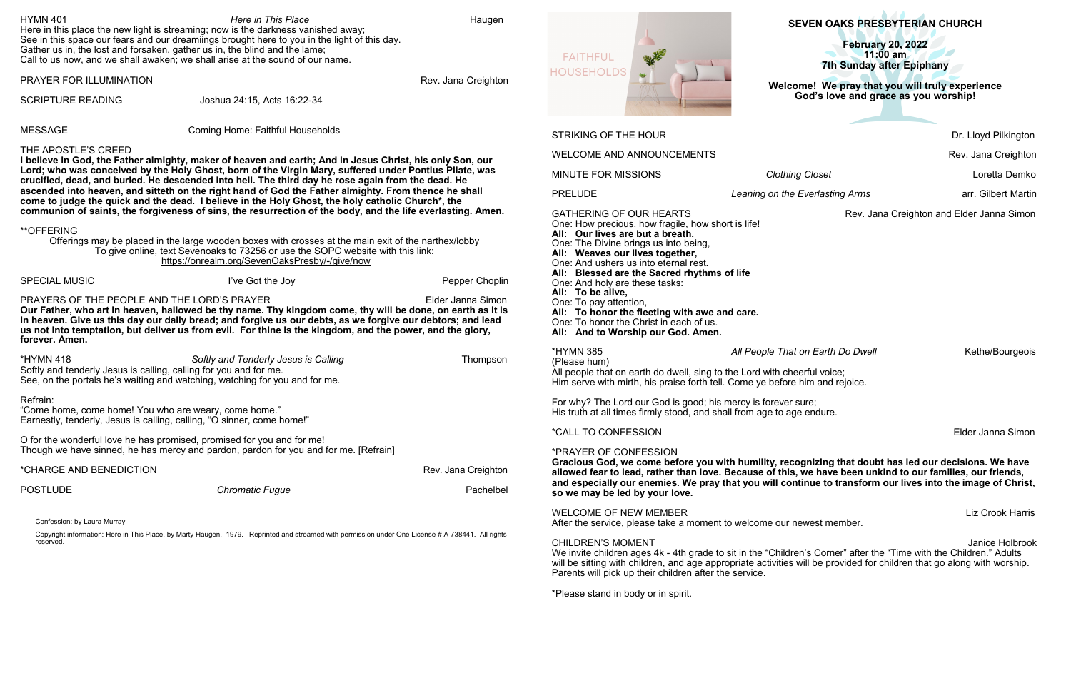# **SEVEN OAKS PRESBYTERIAN CHURCH**

**February 20, 2022 11:00 am**  $\overline{\phantom{a}}$ **7th Sunday after Epiphany**

**Welcome!****We pray that you will truly experience God's love and grace as you worship!**

Dr. Lloyd Pilkington

Rev. Jana Creighton

**Ming Closet Contract Clouse Closet Contract Clouse Clouse Clouse Clouse Clouse Clouse Clouse Clouse Clouse Clouse Clouse Clouse Clouse Clouse Clouse Clouse Clouse Clouse Clouse Clouse Clouse Clouse Clouse Clouse Clous** 

Rev. Jana Creighton and Elder Janna Simon

hat on Earth Do Dwell **All People That Containers** Kethe/Bourgeois

heerful voice; re him and rejoice.

er sure; age endure.

**Elder Janna Simon** 

#### **Cognizing that doubt has led our decisions. We have allowed fear to lead, rather than love. Because of this, we have been unkind to our families, our friends, and especially our enemies. We pray that you will continue to transform our lives into the image of Christ,**

Liz Crook Harris

r newest member.

Janice Holbrook dren's Corner" after the "Time with the Children." Adults will be sitting with children, and age appropriate activities will be provided for children that go along with worship.

*PRELIPE Free Foundating Arms* **Reading Arms arr. Gilbert Martin** 

Parents will pick up their children after the service.

 $E = E \times \mathbb{R}$ 

movinius i dele la

\*Please stand in body or in spirit.

| <b>HYMN 401</b>                                                                                                                                                                                                                                                                                                                                                                                                                                                                                                                       | Here in This Place<br>Here in this place the new light is streaming; now is the darkness vanished away;<br>See in this space our fears and our dreamiings brought here to you in the light of this day.<br>Gather us in, the lost and forsaken, gather us in, the blind and the lame;<br>Call to us now, and we shall awaken; we shall arise at the sound of our name. | Haugen                           | <b>FAITHFUL</b>                                                                                                                                                                                                                               |               |
|---------------------------------------------------------------------------------------------------------------------------------------------------------------------------------------------------------------------------------------------------------------------------------------------------------------------------------------------------------------------------------------------------------------------------------------------------------------------------------------------------------------------------------------|------------------------------------------------------------------------------------------------------------------------------------------------------------------------------------------------------------------------------------------------------------------------------------------------------------------------------------------------------------------------|----------------------------------|-----------------------------------------------------------------------------------------------------------------------------------------------------------------------------------------------------------------------------------------------|---------------|
| PRAYER FOR ILLUMINATION                                                                                                                                                                                                                                                                                                                                                                                                                                                                                                               |                                                                                                                                                                                                                                                                                                                                                                        | Rev. Jana Creighton              | <b>HOUSEHOLDS</b>                                                                                                                                                                                                                             | Weld          |
| <b>SCRIPTURE READING</b>                                                                                                                                                                                                                                                                                                                                                                                                                                                                                                              | Joshua 24:15, Acts 16:22-34                                                                                                                                                                                                                                                                                                                                            |                                  |                                                                                                                                                                                                                                               |               |
| <b>MESSAGE</b>                                                                                                                                                                                                                                                                                                                                                                                                                                                                                                                        | <b>Coming Home: Faithful Households</b>                                                                                                                                                                                                                                                                                                                                |                                  | <b>STRIKING OF THE HOUR</b>                                                                                                                                                                                                                   |               |
| THE APOSTLE'S CREED                                                                                                                                                                                                                                                                                                                                                                                                                                                                                                                   |                                                                                                                                                                                                                                                                                                                                                                        | <b>WELCOME AND ANNOUNCEMENTS</b> |                                                                                                                                                                                                                                               |               |
| I believe in God, the Father almighty, maker of heaven and earth; And in Jesus Christ, his only Son, our<br>Lord; who was conceived by the Holy Ghost, born of the Virgin Mary, suffered under Pontius Pilate, was<br>crucified, dead, and buried. He descended into hell. The third day he rose again from the dead. He<br>ascended into heaven, and sitteth on the right hand of God the Father almighty. From thence he shall<br>come to judge the quick and the dead. I believe in the Holy Ghost, the holy catholic Church*, the |                                                                                                                                                                                                                                                                                                                                                                        |                                  | <b>MINUTE FOR MISSIONS</b>                                                                                                                                                                                                                    | Cloth         |
|                                                                                                                                                                                                                                                                                                                                                                                                                                                                                                                                       |                                                                                                                                                                                                                                                                                                                                                                        |                                  | <b>PRELUDE</b>                                                                                                                                                                                                                                | Leaning on th |
| communion of saints, the forgiveness of sins, the resurrection of the body, and the life everlasting. Amen.<br><b>**OFFERING</b><br>Offerings may be placed in the large wooden boxes with crosses at the main exit of the narthex/lobby<br>To give online, text Sevenoaks to 73256 or use the SOPC website with this link:<br>https://onrealm.org/SevenOaksPresby/-/give/now                                                                                                                                                         |                                                                                                                                                                                                                                                                                                                                                                        |                                  | <b>GATHERING OF OUR HEARTS</b><br>One: How precious, how fragile, how short is life!<br>All: Our lives are but a breath.<br>One: The Divine brings us into being,<br>All: Weaves our lives together,<br>One: And ushers us into eternal rest. |               |
| <b>SPECIAL MUSIC</b>                                                                                                                                                                                                                                                                                                                                                                                                                                                                                                                  | I've Got the Joy                                                                                                                                                                                                                                                                                                                                                       | Pepper Choplin                   | All: Blessed are the Sacred rhythms of life<br>One: And holy are these tasks:                                                                                                                                                                 |               |
| PRAYERS OF THE PEOPLE AND THE LORD'S PRAYER<br>Elder Janna Simon<br>Our Father, who art in heaven, hallowed be thy name. Thy kingdom come, thy will be done, on earth as it is<br>in heaven. Give us this day our daily bread; and forgive us our debts, as we forgive our debtors; and lead<br>us not into temptation, but deliver us from evil. For thine is the kingdom, and the power, and the glory,<br>forever. Amen.                                                                                                           |                                                                                                                                                                                                                                                                                                                                                                        |                                  | All: To be alive,<br>One: To pay attention,<br>All: To honor the fleeting with awe and care.<br>One: To honor the Christ in each of us.<br>All: And to Worship our God. Amen.                                                                 |               |
| <b>*HYMN 418</b>                                                                                                                                                                                                                                                                                                                                                                                                                                                                                                                      | Softly and Tenderly Jesus is Calling                                                                                                                                                                                                                                                                                                                                   | Thompson                         | <b>*HYMN 385</b>                                                                                                                                                                                                                              | All People Th |
| Softly and tenderly Jesus is calling, calling for you and for me.                                                                                                                                                                                                                                                                                                                                                                                                                                                                     | See, on the portals he's waiting and watching, watching for you and for me.                                                                                                                                                                                                                                                                                            |                                  | (Please hum)<br>All people that on earth do dwell, sing to the Lord with c<br>Him serve with mirth, his praise forth tell. Come ye before                                                                                                     |               |
| Refrain:<br>"Come home, come home! You who are weary, come home."<br>Earnestly, tenderly, Jesus is calling, calling, "O sinner, come home!"                                                                                                                                                                                                                                                                                                                                                                                           |                                                                                                                                                                                                                                                                                                                                                                        |                                  | For why? The Lord our God is good; his mercy is foreve<br>His truth at all times firmly stood, and shall from age to a                                                                                                                        |               |
| O for the wonderful love he has promised, promised for you and for me!<br>Though we have sinned, he has mercy and pardon, pardon for you and for me. [Refrain]                                                                                                                                                                                                                                                                                                                                                                        |                                                                                                                                                                                                                                                                                                                                                                        |                                  | <i><b>*CALL TO CONFESSION</b></i>                                                                                                                                                                                                             |               |
|                                                                                                                                                                                                                                                                                                                                                                                                                                                                                                                                       |                                                                                                                                                                                                                                                                                                                                                                        |                                  | *PRAYER OF CONFESSION<br>Gracious God, we come before you with humility, re                                                                                                                                                                   |               |
| *CHARGE AND BENEDICTION<br>Rev. Jana Creighton                                                                                                                                                                                                                                                                                                                                                                                                                                                                                        |                                                                                                                                                                                                                                                                                                                                                                        |                                  | allowed fear to lead, rather than love. Because of thi                                                                                                                                                                                        |               |
| <b>POSTLUDE</b>                                                                                                                                                                                                                                                                                                                                                                                                                                                                                                                       | <b>Chromatic Fugue</b>                                                                                                                                                                                                                                                                                                                                                 | Pachelbel                        | and especially our enemies. We pray that you will co<br>so we may be led by your love.                                                                                                                                                        |               |
| Confession: by Laura Murray                                                                                                                                                                                                                                                                                                                                                                                                                                                                                                           |                                                                                                                                                                                                                                                                                                                                                                        |                                  | <b>WELCOME OF NEW MEMBER</b><br>After the service, please take a moment to welcome our                                                                                                                                                        |               |
| reserved.                                                                                                                                                                                                                                                                                                                                                                                                                                                                                                                             | Copyright information: Here in This Place, by Marty Haugen. 1979. Reprinted and streamed with permission under One License # A-738441. All rights                                                                                                                                                                                                                      |                                  | <b>CHILDREN'S MOMENT</b><br>We invite children ages 4k - 4th grade to sit in the "Child"<br>will be sitting with objiding and ago appropriate activities                                                                                      |               |